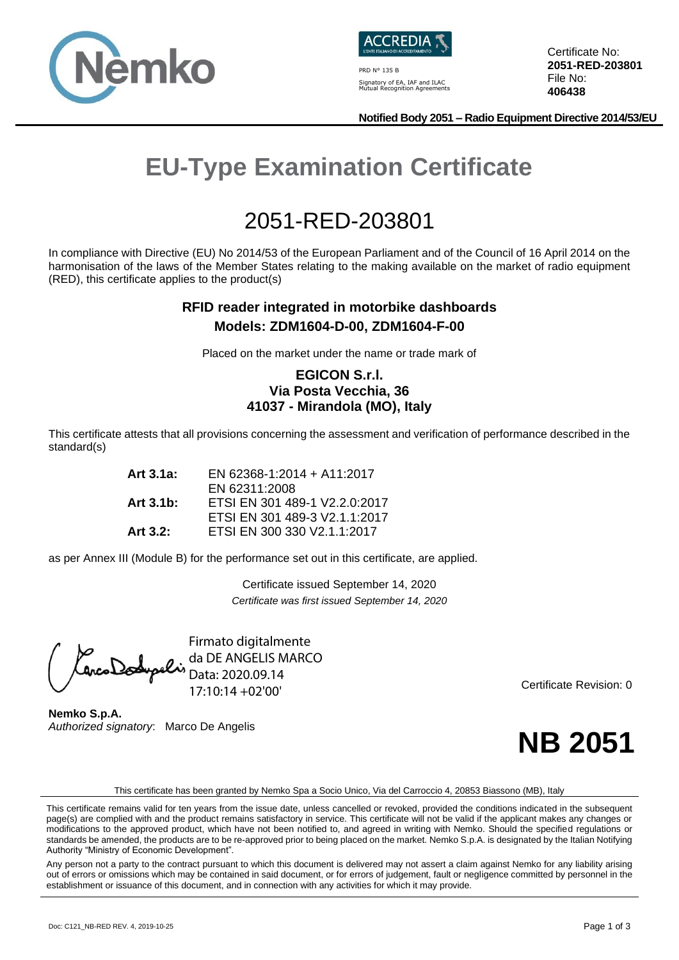



PRD N° 135 B Signatory of EA, IAF and ILAC Mutual Recognition Agreements Certificate No: **2051-RED-203801** File No: **406438**

**Notified Body 2051 – Radio Equipment Directive 2014/53/EU**

# **EU-Type Examination Certificate**

## 2051-RED-203801

In compliance with Directive (EU) No 2014/53 of the European Parliament and of the Council of 16 April 2014 on the harmonisation of the laws of the Member States relating to the making available on the market of radio equipment (RED), this certificate applies to the product(s)

#### **RFID reader integrated in motorbike dashboards Models: ZDM1604-D-00, ZDM1604-F-00**

Placed on the market under the name or trade mark of

#### **EGICON S.r.l. Via Posta Vecchia, 36 41037 - Mirandola (MO), Italy**

This certificate attests that all provisions concerning the assessment and verification of performance described in the standard(s)

| Art $3.1a$ : | EN 62368-1:2014 + A11:2017    |
|--------------|-------------------------------|
|              | EN 62311:2008                 |
| Art $3.1b$ : | ETSI EN 301 489-1 V2.2.0:2017 |
|              | ETSI EN 301 489-3 V2.1.1:2017 |
| Art $3.2$ :  | ETSI EN 300 330 V2.1.1:2017   |

as per Annex III (Module B) for the performance set out in this certificate, are applied.

Certificate issued September 14, 2020 *Certificate was first issued September 14, 2020*

Firmato digitalmente da DE ANGELIS MARCO Data: 2020.09.14 17:10:14 +02'00'

**Nemko S.p.A.** *Authorized signatory*: Marco De Angelis Certificate Revision: 0



This certificate has been granted by Nemko Spa a Socio Unico, Via del Carroccio 4, 20853 Biassono (MB), Italy

This certificate remains valid for ten years from the issue date, unless cancelled or revoked, provided the conditions indicated in the subsequent page(s) are complied with and the product remains satisfactory in service. This certificate will not be valid if the applicant makes any changes or modifications to the approved product, which have not been notified to, and agreed in writing with Nemko. Should the specified regulations or standards be amended, the products are to be re-approved prior to being placed on the market. Nemko S.p.A. is designated by the Italian Notifying Authority "Ministry of Economic Development".

Any person not a party to the contract pursuant to which this document is delivered may not assert a claim against Nemko for any liability arising out of errors or omissions which may be contained in said document, or for errors of judgement, fault or negligence committed by personnel in the establishment or issuance of this document, and in connection with any activities for which it may provide.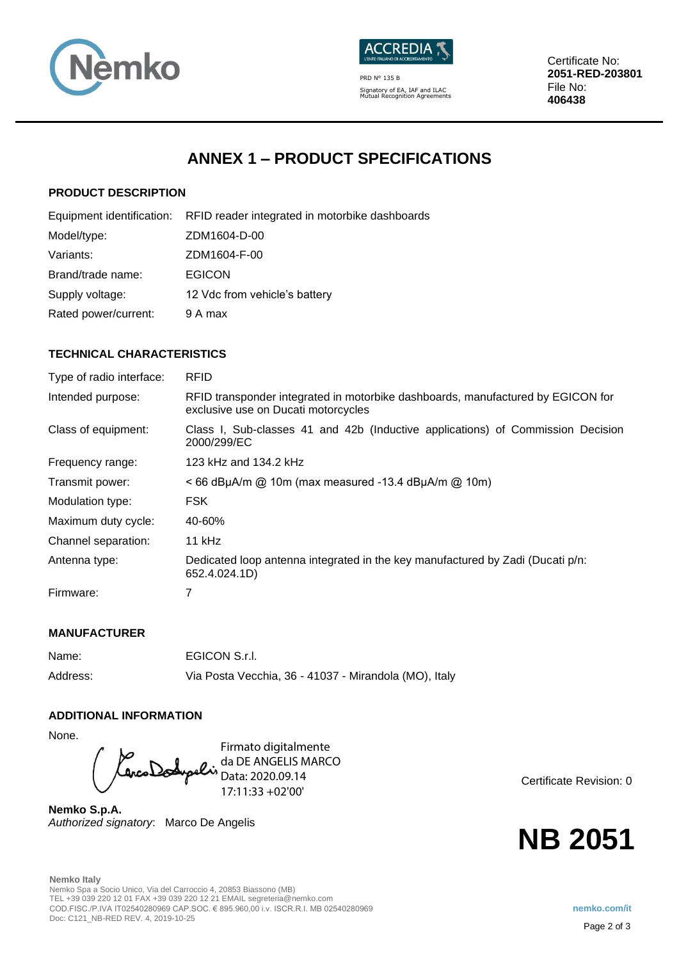



PRD N° 135 B Signatory of EA, IAF and ILAC Mutual Recognition Agreements Certificate No: **2051-RED-203801** File No: **406438**

## **ANNEX 1 – PRODUCT SPECIFICATIONS**

#### **PRODUCT DESCRIPTION**

|                      | Equipment identification: RFID reader integrated in motorbike dashboards |
|----------------------|--------------------------------------------------------------------------|
| Model/type:          | ZDM1604-D-00                                                             |
| Variants:            | ZDM1604-F-00                                                             |
| Brand/trade name:    | <b>EGICON</b>                                                            |
| Supply voltage:      | 12 Vdc from vehicle's battery                                            |
| Rated power/current: | 9 A max                                                                  |
|                      |                                                                          |

#### **TECHNICAL CHARACTERISTICS**

| Type of radio interface: | <b>RFID</b>                                                                                                            |
|--------------------------|------------------------------------------------------------------------------------------------------------------------|
| Intended purpose:        | RFID transponder integrated in motorbike dashboards, manufactured by EGICON for<br>exclusive use on Ducati motorcycles |
| Class of equipment:      | Class I, Sub-classes 41 and 42b (Inductive applications) of Commission Decision<br>2000/299/EC                         |
| Frequency range:         | 123 kHz and 134.2 kHz                                                                                                  |
| Transmit power:          | $<$ 66 dBµA/m @ 10m (max measured -13.4 dBµA/m @ 10m)                                                                  |
| Modulation type:         | <b>FSK</b>                                                                                                             |
| Maximum duty cycle:      | 40-60%                                                                                                                 |
| Channel separation:      | 11 kHz                                                                                                                 |
| Antenna type:            | Dedicated loop antenna integrated in the key manufactured by Zadi (Ducati p/n:<br>652.4.024.1D)                        |
| Firmware:                |                                                                                                                        |

#### **MANUFACTURER**

| Name:    | EGICON S.r.I.                                         |
|----------|-------------------------------------------------------|
| Address: | Via Posta Vecchia, 36 - 41037 - Mirandola (MO), Italy |

#### **ADDITIONAL INFORMATION**

None.

Firmato digitalmente da DE ANGELIS MARCO Data: 2020.09.14 17:11:33 +02'00'

**Nemko S.p.A.** *Authorized signatory*: Marco De Angelis Certificate Revision: 0